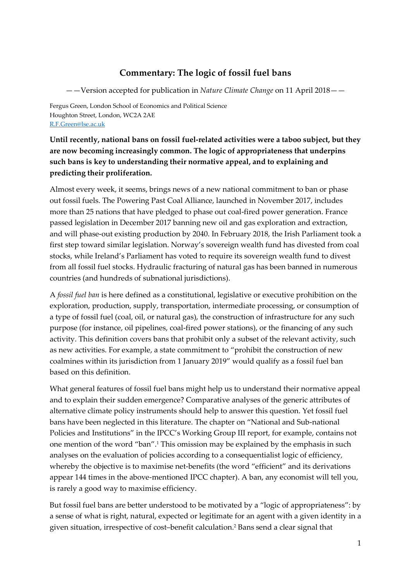## Commentary: The logic of fossil fuel bans

——Version accepted for publication in Nature Climate Change on 11 April 2018——

Fergus Green, London School of Economics and Political Science Houghton Street, London, WC2A 2AE R.F.Green@lse.ac.uk

Until recently, national bans on fossil fuel-related activities were a taboo subject, but they are now becoming increasingly common. The logic of appropriateness that underpins such bans is key to understanding their normative appeal, and to explaining and predicting their proliferation.

Almost every week, it seems, brings news of a new national commitment to ban or phase out fossil fuels. The Powering Past Coal Alliance, launched in November 2017, includes more than 25 nations that have pledged to phase out coal-fired power generation. France passed legislation in December 2017 banning new oil and gas exploration and extraction, and will phase-out existing production by 2040. In February 2018, the Irish Parliament took a first step toward similar legislation. Norway's sovereign wealth fund has divested from coal stocks, while Ireland's Parliament has voted to require its sovereign wealth fund to divest from all fossil fuel stocks. Hydraulic fracturing of natural gas has been banned in numerous countries (and hundreds of subnational jurisdictions).

A fossil fuel ban is here defined as a constitutional, legislative or executive prohibition on the exploration, production, supply, transportation, intermediate processing, or consumption of a type of fossil fuel (coal, oil, or natural gas), the construction of infrastructure for any such purpose (for instance, oil pipelines, coal-fired power stations), or the financing of any such activity. This definition covers bans that prohibit only a subset of the relevant activity, such as new activities. For example, a state commitment to "prohibit the construction of new coalmines within its jurisdiction from 1 January 2019" would qualify as a fossil fuel ban based on this definition.

What general features of fossil fuel bans might help us to understand their normative appeal and to explain their sudden emergence? Comparative analyses of the generic attributes of alternative climate policy instruments should help to answer this question. Yet fossil fuel bans have been neglected in this literature. The chapter on "National and Sub-national Policies and Institutions" in the IPCC's Working Group III report, for example, contains not one mention of the word "ban".<sup>1</sup> This omission may be explained by the emphasis in such analyses on the evaluation of policies according to a consequentialist logic of efficiency, whereby the objective is to maximise net-benefits (the word "efficient" and its derivations appear 144 times in the above-mentioned IPCC chapter). A ban, any economist will tell you, is rarely a good way to maximise efficiency.

But fossil fuel bans are better understood to be motivated by a "logic of appropriateness": by a sense of what is right, natural, expected or legitimate for an agent with a given identity in a given situation, irrespective of cost–benefit calculation.<sup>2</sup> Bans send a clear signal that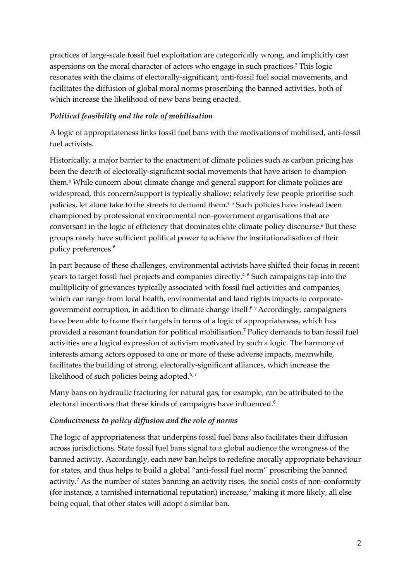practices of large-scale fossil fuel exploitation are categorically wrong, and implicitly cast aspersions on the moral character of actors who engage in such practices.<sup>3</sup> This logic resonates with the claims of electorally-significant, anti-fossil fuel social movements, and facilitates the diffusion of global moral norms proscribing the banned activities, both of which increase the likelihood of new bans being enacted.

## Political feasibility and the role of mobilisation

A logic of appropriateness links fossil fuel bans with the motivations of mobilised, anti-fossil fuel activists.

Historically, a major barrier to the enactment of climate policies such as carbon pricing has been the dearth of electorally-significant social movements that have arisen to champion them.<sup>4</sup> While concern about climate change and general support for climate policies are widespread, this concern/support is typically shallow; relatively few people prioritise such policies, let alone take to the streets to demand them.<sup>4,5</sup> Such policies have instead been championed by professional environmental non-government organisations that are conversant in the logic of efficiency that dominates elite climate policy discourse.<sup>6</sup> But these groups rarely have sufficient political power to achieve the institutionalisation of their policy preferences.<sup>6</sup>

In part because of these challenges, environmental activists have shifted their focus in recent years to target fossil fuel projects and companies directly.<sup>4,6</sup> Such campaigns tap into the multiplicity of grievances typically associated with fossil fuel activities and companies, which can range from local health, environmental and land rights impacts to corporategovernment corruption, in addition to climate change itself.<sup>6,7</sup> Accordingly, campaigners have been able to frame their targets in terms of a logic of appropriateness, which has provided a resonant foundation for political mobilisation.<sup>7</sup> Policy demands to ban fossil fuel activities are a logical expression of activism motivated by such a logic. The harmony of interests among actors opposed to one or more of these adverse impacts, meanwhile, facilitates the building of strong, electorally-significant alliances, which increase the likelihood of such policies being adopted.<sup>6,7</sup>

Many bans on hydraulic fracturing for natural gas, for example, can be attributed to the electoral incentives that these kinds of campaigns have influenced.<sup>6</sup>

## Conduciveness to policy diffusion and the role of norms

The logic of appropriateness that underpins fossil fuel bans also facilitates their diffusion across jurisdictions. State fossil fuel bans signal to a global audience the wrongness of the banned activity. Accordingly, each new ban helps to redefine morally appropriate behaviour for states, and thus helps to build a global "anti-fossil fuel norm" proscribing the banned activity.<sup>7</sup> As the number of states banning an activity rises, the social costs of non-conformity (for instance, a tarnished international reputation) increase,<sup>7</sup> making it more likely, all else being equal, that other states will adopt a similar ban.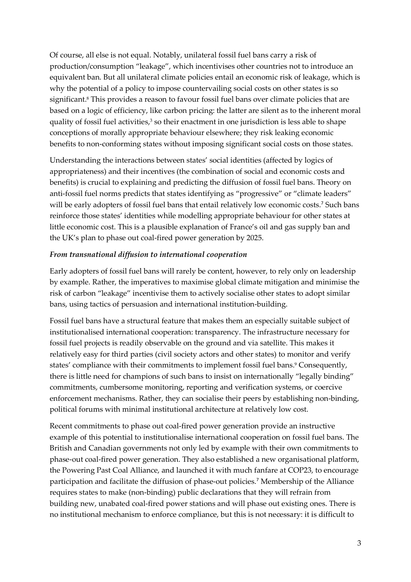Of course, all else is not equal. Notably, unilateral fossil fuel bans carry a risk of production/consumption "leakage", which incentivises other countries not to introduce an equivalent ban. But all unilateral climate policies entail an economic risk of leakage, which is why the potential of a policy to impose countervailing social costs on other states is so significant.<sup>8</sup> This provides a reason to favour fossil fuel bans over climate policies that are based on a logic of efficiency, like carbon pricing: the latter are silent as to the inherent moral quality of fossil fuel activities, $3$  so their enactment in one jurisdiction is less able to shape conceptions of morally appropriate behaviour elsewhere; they risk leaking economic benefits to non-conforming states without imposing significant social costs on those states.

Understanding the interactions between states' social identities (affected by logics of appropriateness) and their incentives (the combination of social and economic costs and benefits) is crucial to explaining and predicting the diffusion of fossil fuel bans. Theory on anti-fossil fuel norms predicts that states identifying as "progressive" or "climate leaders" will be early adopters of fossil fuel bans that entail relatively low economic costs.<sup>7</sup> Such bans reinforce those states' identities while modelling appropriate behaviour for other states at little economic cost. This is a plausible explanation of France's oil and gas supply ban and the UK's plan to phase out coal-fired power generation by 2025.

## From transnational diffusion to international cooperation

Early adopters of fossil fuel bans will rarely be content, however, to rely only on leadership by example. Rather, the imperatives to maximise global climate mitigation and minimise the risk of carbon "leakage" incentivise them to actively socialise other states to adopt similar bans, using tactics of persuasion and international institution-building.

Fossil fuel bans have a structural feature that makes them an especially suitable subject of institutionalised international cooperation: transparency. The infrastructure necessary for fossil fuel projects is readily observable on the ground and via satellite. This makes it relatively easy for third parties (civil society actors and other states) to monitor and verify states' compliance with their commitments to implement fossil fuel bans.<sup>9</sup> Consequently, there is little need for champions of such bans to insist on internationally "legally binding" commitments, cumbersome monitoring, reporting and verification systems, or coercive enforcement mechanisms. Rather, they can socialise their peers by establishing non-binding, political forums with minimal institutional architecture at relatively low cost.

Recent commitments to phase out coal-fired power generation provide an instructive example of this potential to institutionalise international cooperation on fossil fuel bans. The British and Canadian governments not only led by example with their own commitments to phase-out coal-fired power generation. They also established a new organisational platform, the Powering Past Coal Alliance, and launched it with much fanfare at COP23, to encourage participation and facilitate the diffusion of phase-out policies.<sup>7</sup> Membership of the Alliance requires states to make (non-binding) public declarations that they will refrain from building new, unabated coal-fired power stations and will phase out existing ones. There is no institutional mechanism to enforce compliance, but this is not necessary: it is difficult to